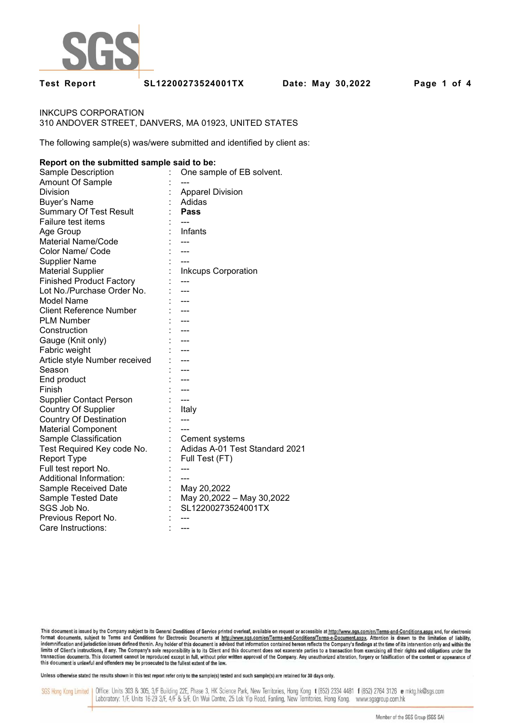

**Test Report SL12200273524001TX Date: May 30,2022 Page 1 of 4** 

INKCUPS CORPORATION 310 ANDOVER STREET, DANVERS, MA 01923, UNITED STATES

The following sample(s) was/were submitted and identified by client as:

### **Report on the submitted sample said to be:**

| Sample Description              | One sample of EB solvent.      |
|---------------------------------|--------------------------------|
| Amount Of Sample                |                                |
| Division                        | <b>Apparel Division</b>        |
| <b>Buyer's Name</b>             | Adidas                         |
| <b>Summary Of Test Result</b>   | Pass                           |
| Failure test items              |                                |
| Age Group                       | Infants                        |
| <b>Material Name/Code</b>       |                                |
| Color Name/ Code                |                                |
| <b>Supplier Name</b>            |                                |
| <b>Material Supplier</b>        | <b>Inkcups Corporation</b>     |
| <b>Finished Product Factory</b> |                                |
| Lot No./Purchase Order No.      |                                |
| <b>Model Name</b>               | ---                            |
| <b>Client Reference Number</b>  |                                |
| <b>PLM Number</b>               |                                |
| Construction                    | ---                            |
| Gauge (Knit only)               | ---                            |
| Fabric weight                   |                                |
| Article style Number received   |                                |
| Season                          |                                |
| End product                     |                                |
| Finish                          |                                |
| <b>Supplier Contact Person</b>  | $---$                          |
| <b>Country Of Supplier</b>      | Italy                          |
| <b>Country Of Destination</b>   | $---$                          |
| <b>Material Component</b>       |                                |
| Sample Classification           | Cement systems                 |
| Test Required Key code No.      | Adidas A-01 Test Standard 2021 |
| <b>Report Type</b>              | Full Test (FT)                 |
| Full test report No.            |                                |
| Additional Information:         |                                |
| Sample Received Date            | May 20,2022                    |
| Sample Tested Date              | May 20,2022 - May 30,2022      |
| SGS Job No.                     | SL12200273524001TX             |
| Previous Report No.             |                                |
| Care Instructions:              |                                |

This document is issued by the Company subject to its General Conditions of Service printed overleaf, available on request or accessible at http://www.sgs.com/en/Terms-and-Conditions.aspx and, for electronic format documents, subject to Terms and Conditions for Electronic Documents at http://www.sgs.com/en/Terms-and-Conditions/Terms-e-Document.aspx. Aftention is drawn to the limitation of liability,<br>indemnification and jurisdi limits of Client's instructions, if any. The Company's sole responsibility is to its Client and this document does not exonerate parties to a transaction from exercising all their rights and obligations under the transacti

Unless otherwise stated the results shown in this test report refer only to the sample(s) tested and such sample(s) are retained for 30 days only.

SGS Hong Kong Limited | Office: Units 303 & 305, 3/F Building 22E, Phase 3, HK Science Park, New Territories, Hong Kong t (852) 2334 4481 f (852) 2764 3126 e mktg.hk@sgs.com Laboratory: 1/F, Units 16-29 3/F, 4/F & 5/F, On Wui Centre, 25 Lok Yip Road, Fanling, New Territories, Hong Kong. www.sgsgroup.com.hk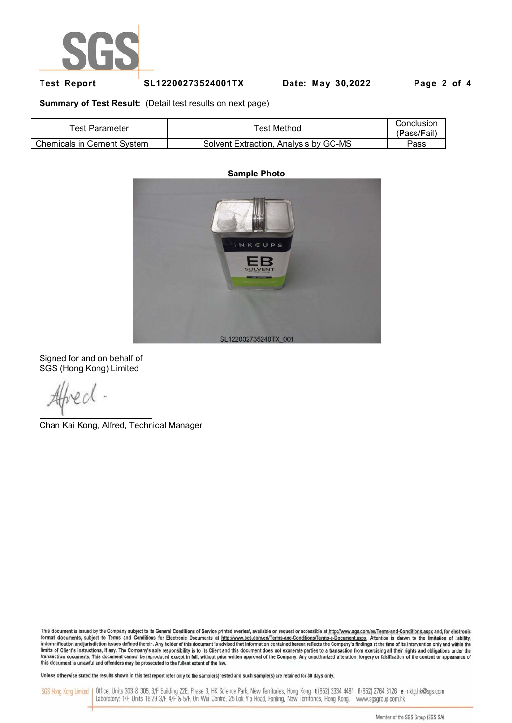

## **Test Report SL12200273524001TX Date: May 30,2022 Page 2 of 4**

**Summary of Test Result:** (Detail test results on next page)

| Test Parameter                    | ™est Method                           | Conclusion<br>(Pass/Fail) |
|-----------------------------------|---------------------------------------|---------------------------|
| <b>Chemicals in Cement System</b> | Solvent Extraction, Analysis by GC-MS | Pass                      |

# **Sample Photo** INKCUPS EB SL122002735240TX\_001

Signed for and on behalf of SGS (Hong Kong) Limited

Chan Kai Kong, Alfred, Technical Manager

This document is issued by the Company subject to its General Conditions of Service printed overleaf, available on request or accessible at http://www.sgs.com/en/Terms-and-Conditions.aspx and, for electronic format documents, subject to Terms and Conditions for Electronic Documents at http://www.sgs.com/en/Terms-and-Conditions/Terms-e-Document.aspx. Attention is drawn to the limitation of liability, indemnification and jurisdi limits of Client's instructions, if any. The Company's sole responsibility is to its Client and this document does not exonerate parties to a transaction from exercising all their rights and obligations under the transacti

Unless otherwise stated the results shown in this test report refer only to the sample(s) tested and such sample(s) are retained for 30 days only.

SGS Hong Kong Limited | Office: Units 303 & 305, 3/F Building 22E, Phase 3, HK Science Park, New Territories, Hong Kong t (852) 2334 4481 f (852) 2764 3126 e mktg.hk@sgs.com Laboratory: 1/F, Units 16-29 3/F, 4/F & 5/F, On Wui Centre, 25 Lok Yip Road, Fanling, New Territories, Hong Kong. www.sgsgroup.com.hk

Member of the SGS Group (SGS SA)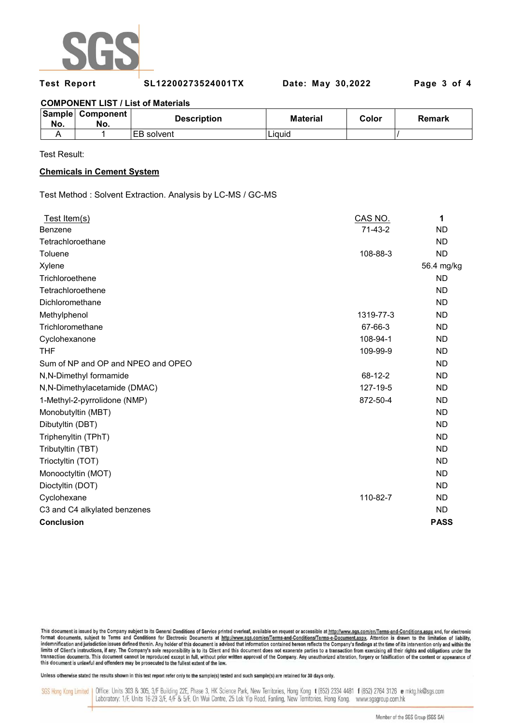

**Test Report SL12200273524001TX Date: May 30,2022 Page 3 of 4** 

## **COMPONENT LIST / List of Materials**

| No. | Sample Component<br>No. | <b>Description</b> | <b>Material</b> | Color | Remark |
|-----|-------------------------|--------------------|-----------------|-------|--------|
|     |                         | <b>IEB</b> solvent | Liauid          |       |        |

Test Result:

## **Chemicals in Cement System**

Test Method : Solvent Extraction. Analysis by LC-MS / GC-MS

| Test Item(s)                       | CAS NO.   | 1           |
|------------------------------------|-----------|-------------|
| Benzene                            | $71-43-2$ | <b>ND</b>   |
| Tetrachloroethane                  |           | <b>ND</b>   |
| Toluene                            | 108-88-3  | <b>ND</b>   |
| Xylene                             |           | 56.4 mg/kg  |
| Trichloroethene                    |           | <b>ND</b>   |
| Tetrachloroethene                  |           | <b>ND</b>   |
| Dichloromethane                    |           | <b>ND</b>   |
| Methylphenol                       | 1319-77-3 | <b>ND</b>   |
| Trichloromethane                   | 67-66-3   | <b>ND</b>   |
| Cyclohexanone                      | 108-94-1  | <b>ND</b>   |
| <b>THF</b>                         | 109-99-9  | <b>ND</b>   |
| Sum of NP and OP and NPEO and OPEO |           | <b>ND</b>   |
| N,N-Dimethyl formamide             | 68-12-2   | <b>ND</b>   |
| N,N-Dimethylacetamide (DMAC)       | 127-19-5  | <b>ND</b>   |
| 1-Methyl-2-pyrrolidone (NMP)       | 872-50-4  | <b>ND</b>   |
| Monobutyltin (MBT)                 |           | <b>ND</b>   |
| Dibutyltin (DBT)                   |           | <b>ND</b>   |
| Triphenyltin (TPhT)                |           | <b>ND</b>   |
| Tributyltin (TBT)                  |           | <b>ND</b>   |
| Trioctyltin (TOT)                  |           | <b>ND</b>   |
| Monooctyltin (MOT)                 |           | <b>ND</b>   |
| Dioctyltin (DOT)                   |           | <b>ND</b>   |
| Cyclohexane                        | 110-82-7  | <b>ND</b>   |
| C3 and C4 alkylated benzenes       |           | <b>ND</b>   |
| <b>Conclusion</b>                  |           | <b>PASS</b> |

This document is issued by the Company subject to its General Conditions of Service printed overleaf, available on request or accessible at http://www.sgs.com/en/Terms-and-Conditions.aspx and, for electronic In the documents, subject to Terms and Conditions for Electronic Documents at http://www.sps.com/en/Terms-and-Conditions/Terms-e-Document.aspx... Attention is drawn to the limitation of liability,<br>Indemnification and juris limits of Client's instructions, if any. The Company's sole responsibility is to its Client and this document does not exonerate parties to a transaction from exercising all their rights and obligations under the transacti

Unless otherwise stated the results shown in this test report refer only to the sample(s) tested and such sample(s) are retained for 30 days only.

SGS Hong Kong Limited | Office: Units 303 & 305, 3/F Building 22E, Phase 3, HK Science Park, New Territories, Hong Kong t (852) 2334 4481 f (852) 2764 3126 e mktg.hk@sgs.com Laboratory: 1/F, Units 16-29 3/F, 4/F & 5/F, On Wui Centre, 25 Lok Yip Road, Fanling, New Territories, Hong Kong. www.sgsgroup.com.hk